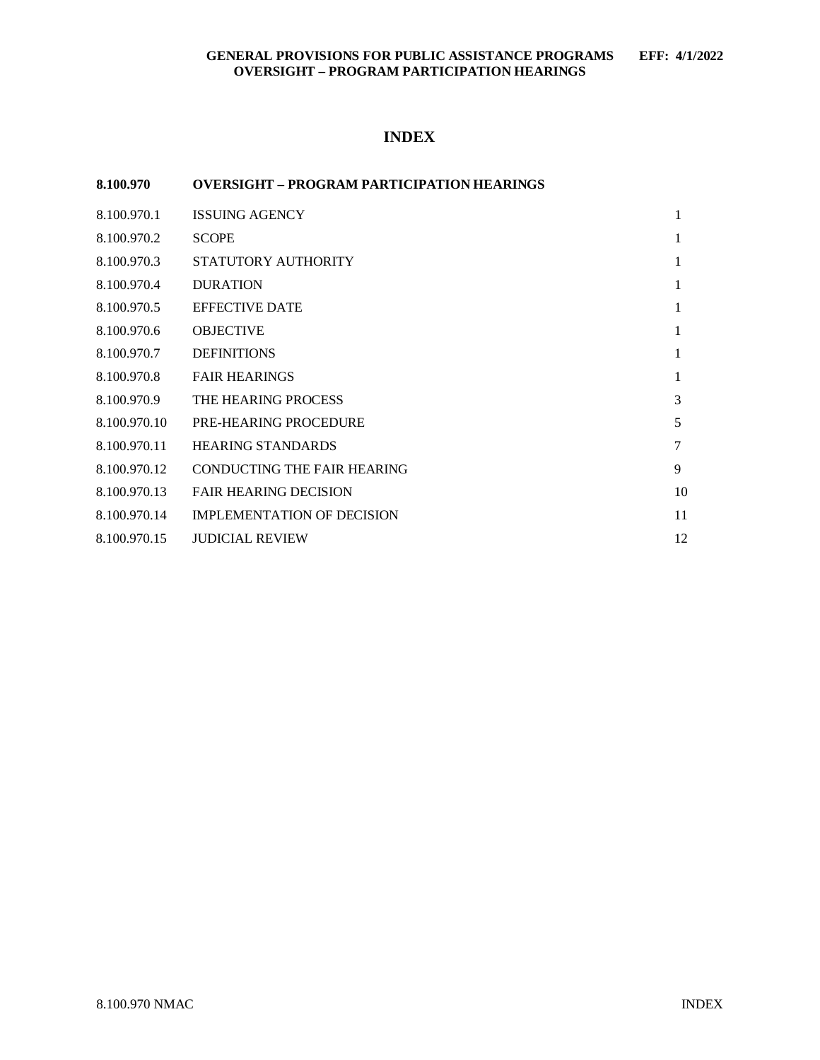# **INDEX**

### **8.100.970 OVERSIGHT – PROGRAM PARTICIPATION HEARINGS**

| 8.100.970.1  | <b>ISSUING AGENCY</b>             | 1            |
|--------------|-----------------------------------|--------------|
| 8.100.970.2  | <b>SCOPE</b>                      | $\mathbf{1}$ |
| 8.100.970.3  | STATUTORY AUTHORITY               | $\mathbf{1}$ |
| 8.100.970.4  | <b>DURATION</b>                   | $\mathbf{1}$ |
| 8.100.970.5  | <b>EFFECTIVE DATE</b>             | 1            |
| 8.100.970.6  | <b>OBJECTIVE</b>                  | 1            |
| 8.100.970.7  | <b>DEFINITIONS</b>                | 1            |
| 8.100.970.8  | <b>FAIR HEARINGS</b>              | 1            |
| 8.100.970.9  | THE HEARING PROCESS               | 3            |
| 8.100.970.10 | <b>PRE-HEARING PROCEDURE</b>      | 5            |
| 8.100.970.11 | <b>HEARING STANDARDS</b>          | 7            |
| 8.100.970.12 | CONDUCTING THE FAIR HEARING       | 9            |
| 8.100.970.13 | <b>FAIR HEARING DECISION</b>      | 10           |
| 8.100.970.14 | <b>IMPLEMENTATION OF DECISION</b> | 11           |
| 8.100.970.15 | <b>JUDICIAL REVIEW</b>            | 12           |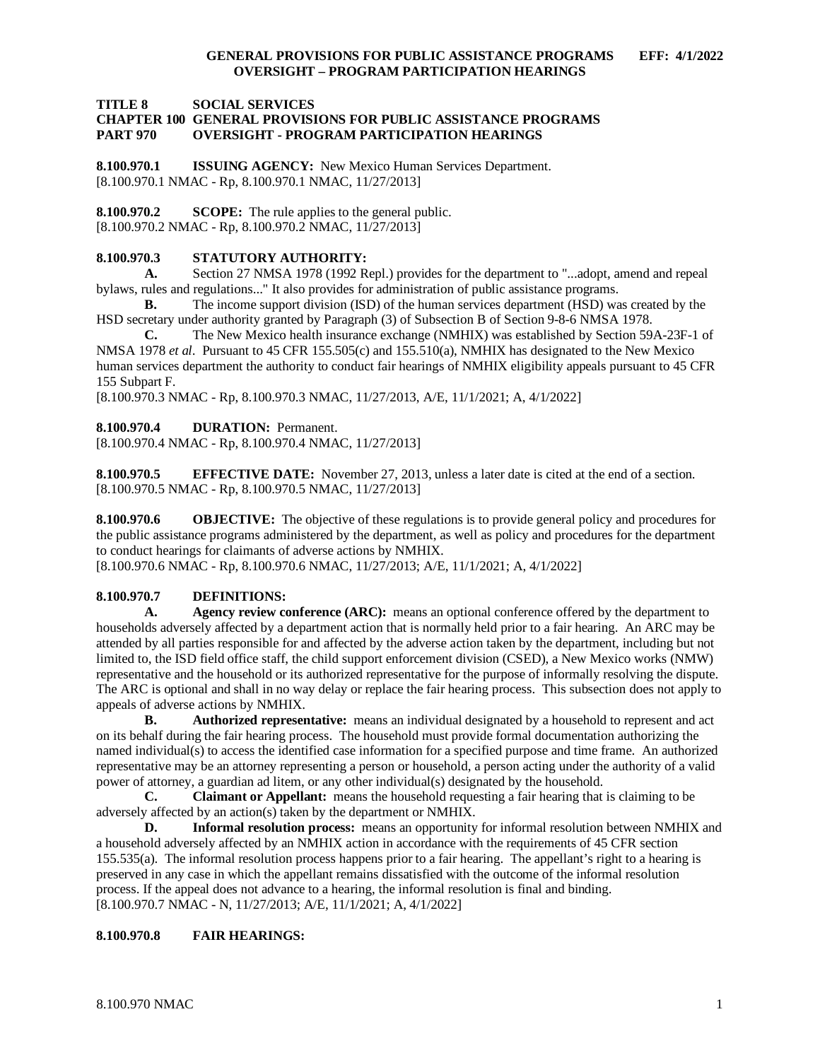**TITLE 8 SOCIAL SERVICES**

#### **CHAPTER 100 GENERAL PROVISIONS FOR PUBLIC ASSISTANCE PROGRAMS PART 970 OVERSIGHT - PROGRAM PARTICIPATION HEARINGS**

<span id="page-1-0"></span>**8.100.970.1 ISSUING AGENCY:** New Mexico Human Services Department. [8.100.970.1 NMAC - Rp, 8.100.970.1 NMAC, 11/27/2013]

<span id="page-1-1"></span>**8.100.970.2 SCOPE:** The rule applies to the general public. [8.100.970.2 NMAC - Rp, 8.100.970.2 NMAC, 11/27/2013]

#### <span id="page-1-2"></span>**8.100.970.3 STATUTORY AUTHORITY:**

**A.** Section 27 NMSA 1978 (1992 Repl.) provides for the department to "...adopt, amend and repeal bylaws, rules and regulations..." It also provides for administration of public assistance programs.

**B.** The income support division (ISD) of the human services department (HSD) was created by the HSD secretary under authority granted by Paragraph (3) of Subsection B of Section 9-8-6 NMSA 1978.

**C.** The New Mexico health insurance exchange (NMHIX) was established by Section 59A-23F-1 of NMSA 1978 *et al*. Pursuant to 45 CFR 155.505(c) and 155.510(a), NMHIX has designated to the New Mexico human services department the authority to conduct fair hearings of NMHIX eligibility appeals pursuant to 45 CFR 155 Subpart F.

[8.100.970.3 NMAC - Rp, 8.100.970.3 NMAC, 11/27/2013, A/E, 11/1/2021; A, 4/1/2022]

#### <span id="page-1-3"></span>**8.100.970.4 DURATION:** Permanent.

[8.100.970.4 NMAC - Rp, 8.100.970.4 NMAC, 11/27/2013]

<span id="page-1-4"></span>**8.100.970.5 EFFECTIVE DATE:** November 27, 2013, unless a later date is cited at the end of a section. [8.100.970.5 NMAC - Rp, 8.100.970.5 NMAC, 11/27/2013]

<span id="page-1-5"></span>**8.100.970.6 OBJECTIVE:** The objective of these regulations is to provide general policy and procedures for the public assistance programs administered by the department, as well as policy and procedures for the department to conduct hearings for claimants of adverse actions by NMHIX.

[8.100.970.6 NMAC - Rp, 8.100.970.6 NMAC, 11/27/2013; A/E, 11/1/2021; A, 4/1/2022]

#### <span id="page-1-6"></span>**8.100.970.7 DEFINITIONS:**

**A. Agency review conference (ARC):** means an optional conference offered by the department to households adversely affected by a department action that is normally held prior to a fair hearing. An ARC may be attended by all parties responsible for and affected by the adverse action taken by the department, including but not limited to, the ISD field office staff, the child support enforcement division (CSED), a New Mexico works (NMW) representative and the household or its authorized representative for the purpose of informally resolving the dispute. The ARC is optional and shall in no way delay or replace the fair hearing process. This subsection does not apply to appeals of adverse actions by NMHIX.

**B. Authorized representative:** means an individual designated by a household to represent and act on its behalf during the fair hearing process. The household must provide formal documentation authorizing the named individual(s) to access the identified case information for a specified purpose and time frame. An authorized representative may be an attorney representing a person or household, a person acting under the authority of a valid power of attorney, a guardian ad litem, or any other individual(s) designated by the household.<br> **C.** Claimant or Appellant: means the household requesting a fair hearing that

**C. Claimant or Appellant:** means the household requesting a fair hearing that is claiming to be adversely affected by an action(s) taken by the department or NMHIX.

**D. Informal resolution process:** means an opportunity for informal resolution between NMHIX and a household adversely affected by an NMHIX action in accordance with the requirements of 45 CFR section 155.535(a). The informal resolution process happens prior to a fair hearing. The appellant's right to a hearing is preserved in any case in which the appellant remains dissatisfied with the outcome of the informal resolution process. If the appeal does not advance to a hearing, the informal resolution is final and binding. [8.100.970.7 NMAC - N, 11/27/2013; A/E, 11/1/2021; A, 4/1/2022]

#### <span id="page-1-7"></span>**8.100.970.8 FAIR HEARINGS:**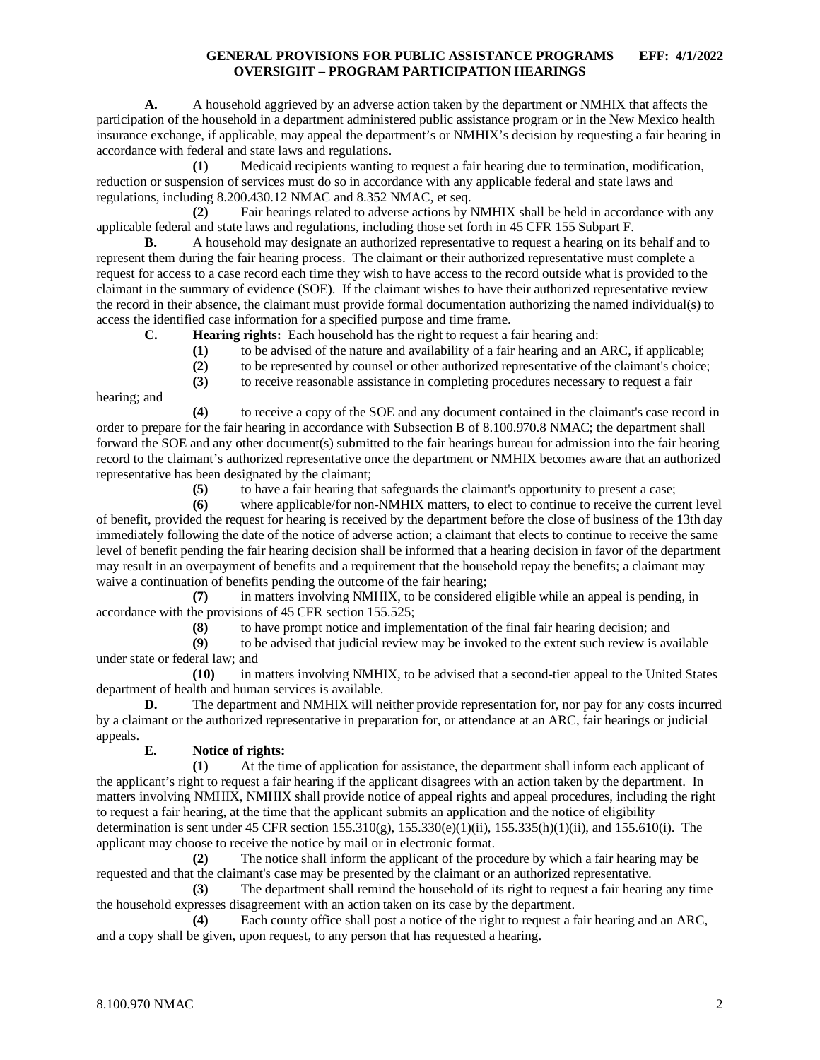**A.** A household aggrieved by an adverse action taken by the department or NMHIX that affects the participation of the household in a department administered public assistance program or in the New Mexico health insurance exchange, if applicable, may appeal the department's or NMHIX's decision by requesting a fair hearing in accordance with federal and state laws and regulations.

**(1)** Medicaid recipients wanting to request a fair hearing due to termination, modification, reduction or suspension of services must do so in accordance with any applicable federal and state laws and regulations, including 8.200.430.12 NMAC and 8.352 NMAC, et seq.

**(2)** Fair hearings related to adverse actions by NMHIX shall be held in accordance with any applicable federal and state laws and regulations, including those set forth in 45 CFR 155 Subpart F.

**B.** A household may designate an authorized representative to request a hearing on its behalf and to represent them during the fair hearing process. The claimant or their authorized representative must complete a request for access to a case record each time they wish to have access to the record outside what is provided to the claimant in the summary of evidence (SOE). If the claimant wishes to have their authorized representative review the record in their absence, the claimant must provide formal documentation authorizing the named individual(s) to access the identified case information for a specified purpose and time frame.

**C. Hearing rights:** Each household has the right to request a fair hearing and:

- **(1)** to be advised of the nature and availability of a fair hearing and an ARC, if applicable;
- **(2)** to be represented by counsel or other authorized representative of the claimant's choice;

**(3)** to receive reasonable assistance in completing procedures necessary to request a fair

hearing; and

**(4)** to receive a copy of the SOE and any document contained in the claimant's case record in order to prepare for the fair hearing in accordance with Subsection B of 8.100.970.8 NMAC; the department shall forward the SOE and any other document(s) submitted to the fair hearings bureau for admission into the fair hearing record to the claimant's authorized representative once the department or NMHIX becomes aware that an authorized representative has been designated by the claimant;

**(5)** to have a fair hearing that safeguards the claimant's opportunity to present a case;

**(6)** where applicable/for non-NMHIX matters, to elect to continue to receive the current level of benefit, provided the request for hearing is received by the department before the close of business of the 13th day immediately following the date of the notice of adverse action; a claimant that elects to continue to receive the same level of benefit pending the fair hearing decision shall be informed that a hearing decision in favor of the department may result in an overpayment of benefits and a requirement that the household repay the benefits; a claimant may waive a continuation of benefits pending the outcome of the fair hearing;

**(7)** in matters involving NMHIX, to be considered eligible while an appeal is pending, in accordance with the provisions of 45 CFR section 155.525;

**(8)** to have prompt notice and implementation of the final fair hearing decision; and

**(9)** to be advised that judicial review may be invoked to the extent such review is available under state or federal law; and

**(10)** in matters involving NMHIX, to be advised that a second-tier appeal to the United States department of health and human services is available.

**D.** The department and NMHIX will neither provide representation for, nor pay for any costs incurred by a claimant or the authorized representative in preparation for, or attendance at an ARC, fair hearings or judicial appeals.

# **E. Notice of rights:**

**(1)** At the time of application for assistance, the department shall inform each applicant of the applicant's right to request a fair hearing if the applicant disagrees with an action taken by the department. In matters involving NMHIX, NMHIX shall provide notice of appeal rights and appeal procedures, including the right to request a fair hearing, at the time that the applicant submits an application and the notice of eligibility determination is sent under 45 CFR section  $155.310(g)$ ,  $155.330(e)(1)(ii)$ ,  $155.335(h)(1)(ii)$ , and  $155.610(i)$ . The applicant may choose to receive the notice by mail or in electronic format.

**(2)** The notice shall inform the applicant of the procedure by which a fair hearing may be requested and that the claimant's case may be presented by the claimant or an authorized representative.

**(3)** The department shall remind the household of its right to request a fair hearing any time the household expresses disagreement with an action taken on its case by the department.

**(4)** Each county office shall post a notice of the right to request a fair hearing and an ARC, and a copy shall be given, upon request, to any person that has requested a hearing.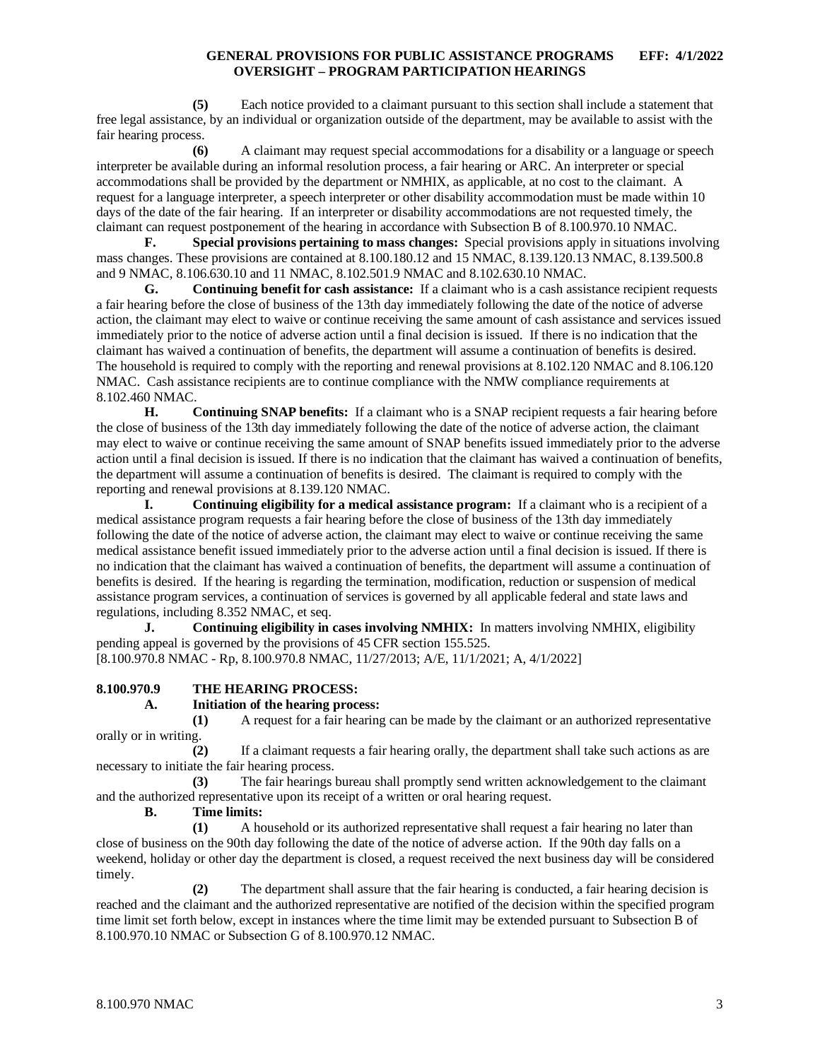**(5)** Each notice provided to a claimant pursuant to this section shall include a statement that free legal assistance, by an individual or organization outside of the department, may be available to assist with the fair hearing process.

**(6)** A claimant may request special accommodations for a disability or a language or speech interpreter be available during an informal resolution process, a fair hearing or ARC. An interpreter or special accommodations shall be provided by the department or NMHIX, as applicable, at no cost to the claimant. A request for a language interpreter, a speech interpreter or other disability accommodation must be made within 10 days of the date of the fair hearing. If an interpreter or disability accommodations are not requested timely, the claimant can request postponement of the hearing in accordance with Subsection B of 8.100.970.10 NMAC.

**F. Special provisions pertaining to mass changes:** Special provisions apply in situations involving mass changes. These provisions are contained at 8.100.180.12 and 15 NMAC, 8.139.120.13 NMAC, 8.139.500.8 and 9 NMAC, 8.106.630.10 and 11 NMAC, 8.102.501.9 NMAC and 8.102.630.10 NMAC.

**G. Continuing benefit for cash assistance:** If a claimant who is a cash assistance recipient requests a fair hearing before the close of business of the 13th day immediately following the date of the notice of adverse action, the claimant may elect to waive or continue receiving the same amount of cash assistance and services issued immediately prior to the notice of adverse action until a final decision is issued. If there is no indication that the claimant has waived a continuation of benefits, the department will assume a continuation of benefits is desired. The household is required to comply with the reporting and renewal provisions at 8.102.120 NMAC and 8.106.120 NMAC. Cash assistance recipients are to continue compliance with the NMW compliance requirements at 8.102.460 NMAC.

**H. Continuing SNAP benefits:** If a claimant who is a SNAP recipient requests a fair hearing before the close of business of the 13th day immediately following the date of the notice of adverse action, the claimant may elect to waive or continue receiving the same amount of SNAP benefits issued immediately prior to the adverse action until a final decision is issued. If there is no indication that the claimant has waived a continuation of benefits, the department will assume a continuation of benefits is desired. The claimant is required to comply with the reporting and renewal provisions at 8.139.120 NMAC.

**I. Continuing eligibility for a medical assistance program:** If a claimant who is a recipient of a medical assistance program requests a fair hearing before the close of business of the 13th day immediately following the date of the notice of adverse action, the claimant may elect to waive or continue receiving the same medical assistance benefit issued immediately prior to the adverse action until a final decision is issued. If there is no indication that the claimant has waived a continuation of benefits, the department will assume a continuation of benefits is desired. If the hearing is regarding the termination, modification, reduction or suspension of medical assistance program services, a continuation of services is governed by all applicable federal and state laws and regulations, including 8.352 NMAC, et seq.

**J. Continuing eligibility in cases involving NMHIX:** In matters involving NMHIX, eligibility pending appeal is governed by the provisions of 45 CFR section 155.525. [8.100.970.8 NMAC - Rp, 8.100.970.8 NMAC, 11/27/2013; A/E, 11/1/2021; A, 4/1/2022]

### <span id="page-3-0"></span>**8.100.970.9 THE HEARING PROCESS:**

### **A. Initiation of the hearing process:**

**(1)** A request for a fair hearing can be made by the claimant or an authorized representative orally or in writing.

**(2)** If a claimant requests a fair hearing orally, the department shall take such actions as are necessary to initiate the fair hearing process.

**(3)** The fair hearings bureau shall promptly send written acknowledgement to the claimant and the authorized representative upon its receipt of a written or oral hearing request.

**B. Time limits:**

**(1)** A household or its authorized representative shall request a fair hearing no later than close of business on the 90th day following the date of the notice of adverse action. If the 90th day falls on a weekend, holiday or other day the department is closed, a request received the next business day will be considered timely.

**(2)** The department shall assure that the fair hearing is conducted, a fair hearing decision is reached and the claimant and the authorized representative are notified of the decision within the specified program time limit set forth below, except in instances where the time limit may be extended pursuant to Subsection B of 8.100.970.10 NMAC or Subsection G of 8.100.970.12 NMAC.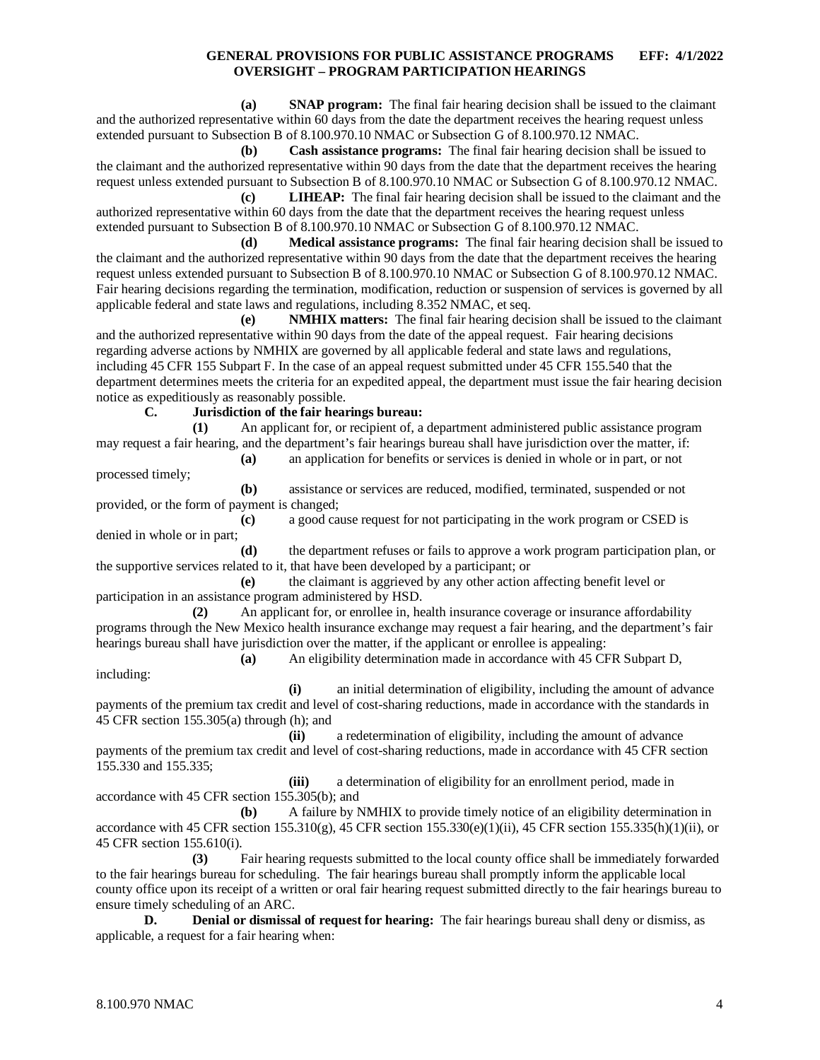**(a) SNAP program:** The final fair hearing decision shall be issued to the claimant and the authorized representative within 60 days from the date the department receives the hearing request unless extended pursuant to Subsection B of 8.100.970.10 NMAC or Subsection G of 8.100.970.12 NMAC.

**(b) Cash assistance programs:** The final fair hearing decision shall be issued to the claimant and the authorized representative within 90 days from the date that the department receives the hearing request unless extended pursuant to Subsection B of 8.100.970.10 NMAC or Subsection G of 8.100.970.12 NMAC.

**(c) LIHEAP:** The final fair hearing decision shall be issued to the claimant and the authorized representative within 60 days from the date that the department receives the hearing request unless extended pursuant to Subsection B of 8.100.970.10 NMAC or Subsection G of 8.100.970.12 NMAC.

**(d) Medical assistance programs:** The final fair hearing decision shall be issued to the claimant and the authorized representative within 90 days from the date that the department receives the hearing request unless extended pursuant to Subsection B of 8.100.970.10 NMAC or Subsection G of 8.100.970.12 NMAC. Fair hearing decisions regarding the termination, modification, reduction or suspension of services is governed by all applicable federal and state laws and regulations, including 8.352 NMAC, et seq.

**(e) NMHIX matters:** The final fair hearing decision shall be issued to the claimant and the authorized representative within 90 days from the date of the appeal request. Fair hearing decisions regarding adverse actions by NMHIX are governed by all applicable federal and state laws and regulations, including 45 CFR 155 Subpart F. In the case of an appeal request submitted under 45 CFR 155.540 that the department determines meets the criteria for an expedited appeal, the department must issue the fair hearing decision notice as expeditiously as reasonably possible.

**C. Jurisdiction of the fair hearings bureau:**

**(1)** An applicant for, or recipient of, a department administered public assistance program may request a fair hearing, and the department's fair hearings bureau shall have jurisdiction over the matter, if: **(a)** an application for benefits or services is denied in whole or in part, or not

processed timely;

including:

**(b)** assistance or services are reduced, modified, terminated, suspended or not provided, or the form of payment is changed;

**(c)** a good cause request for not participating in the work program or CSED is denied in whole or in part;

**(d)** the department refuses or fails to approve a work program participation plan, or the supportive services related to it, that have been developed by a participant; or

**(e)** the claimant is aggrieved by any other action affecting benefit level or participation in an assistance program administered by HSD.

**(2)** An applicant for, or enrollee in, health insurance coverage or insurance affordability programs through the New Mexico health insurance exchange may request a fair hearing, and the department's fair hearings bureau shall have jurisdiction over the matter, if the applicant or enrollee is appealing:

**(a)** An eligibility determination made in accordance with 45 CFR Subpart D,

**(i)** an initial determination of eligibility, including the amount of advance payments of the premium tax credit and level of cost-sharing reductions, made in accordance with the standards in 45 CFR section 155.305(a) through (h); and

**(ii)** a redetermination of eligibility, including the amount of advance payments of the premium tax credit and level of cost-sharing reductions, made in accordance with 45 CFR section 155.330 and 155.335;

**(iii)** a determination of eligibility for an enrollment period, made in accordance with 45 CFR section 155.305(b); and

**(b)** A failure by NMHIX to provide timely notice of an eligibility determination in accordance with 45 CFR section  $155.310(g)$ , 45 CFR section  $155.330(e)(1)(ii)$ , 45 CFR section  $155.335(h)(1)(ii)$ , or 45 CFR section 155.610(i).

**(3)** Fair hearing requests submitted to the local county office shall be immediately forwarded to the fair hearings bureau for scheduling. The fair hearings bureau shall promptly inform the applicable local county office upon its receipt of a written or oral fair hearing request submitted directly to the fair hearings bureau to ensure timely scheduling of an ARC.

**D. Denial or dismissal of request for hearing:** The fair hearings bureau shall deny or dismiss, as applicable, a request for a fair hearing when: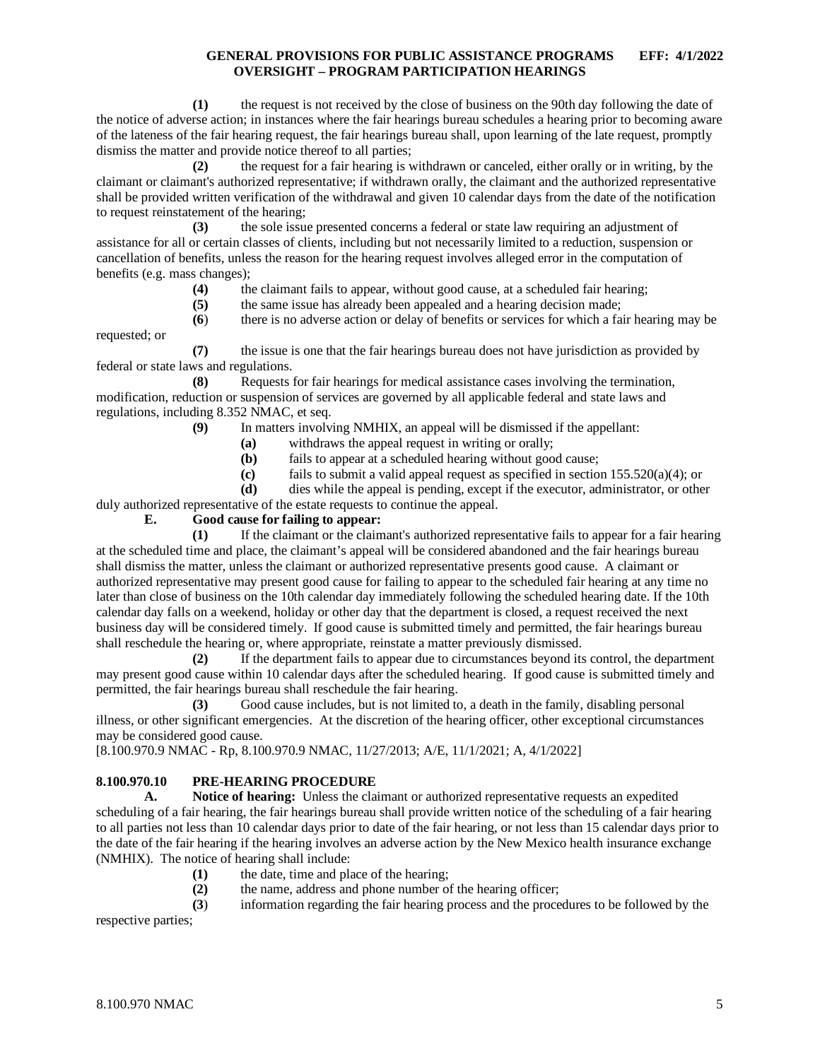**(1)** the request is not received by the close of business on the 90th day following the date of the notice of adverse action; in instances where the fair hearings bureau schedules a hearing prior to becoming aware of the lateness of the fair hearing request, the fair hearings bureau shall, upon learning of the late request, promptly dismiss the matter and provide notice thereof to all parties;

**(2)** the request for a fair hearing is withdrawn or canceled, either orally or in writing, by the claimant or claimant's authorized representative; if withdrawn orally, the claimant and the authorized representative shall be provided written verification of the withdrawal and given 10 calendar days from the date of the notification to request reinstatement of the hearing;

**(3)** the sole issue presented concerns a federal or state law requiring an adjustment of assistance for all or certain classes of clients, including but not necessarily limited to a reduction, suspension or cancellation of benefits, unless the reason for the hearing request involves alleged error in the computation of benefits (e.g. mass changes);

- **(4)** the claimant fails to appear, without good cause, at a scheduled fair hearing;
- **(5)** the same issue has already been appealed and a hearing decision made;

**(6**) there is no adverse action or delay of benefits or services for which a fair hearing may be requested; or

**(7)** the issue is one that the fair hearings bureau does not have jurisdiction as provided by federal or state laws and regulations.

**(8)** Requests for fair hearings for medical assistance cases involving the termination, modification, reduction or suspension of services are governed by all applicable federal and state laws and regulations, including 8.352 NMAC, et seq.

- **(9)** In matters involving NMHIX, an appeal will be dismissed if the appellant:
	- **(a)** withdraws the appeal request in writing or orally;
	- **(b)** fails to appear at a scheduled hearing without good cause;
	- **(c)** fails to submit a valid appeal request as specified in section 155.520(a)(4); or
	- **(d)** dies while the appeal is pending, except if the executor, administrator, or other
- duly authorized representative of the estate requests to continue the appeal.

#### **E. Good cause for failing to appear:**

**(1)** If the claimant or the claimant's authorized representative fails to appear for a fair hearing at the scheduled time and place, the claimant's appeal will be considered abandoned and the fair hearings bureau shall dismiss the matter, unless the claimant or authorized representative presents good cause. A claimant or authorized representative may present good cause for failing to appear to the scheduled fair hearing at any time no later than close of business on the 10th calendar day immediately following the scheduled hearing date. If the 10th calendar day falls on a weekend, holiday or other day that the department is closed, a request received the next business day will be considered timely. If good cause is submitted timely and permitted, the fair hearings bureau shall reschedule the hearing or, where appropriate, reinstate a matter previously dismissed.

**(2)** If the department fails to appear due to circumstances beyond its control, the department may present good cause within 10 calendar days after the scheduled hearing. If good cause is submitted timely and permitted, the fair hearings bureau shall reschedule the fair hearing.

**(3)** Good cause includes, but is not limited to, a death in the family, disabling personal illness, or other significant emergencies. At the discretion of the hearing officer, other exceptional circumstances may be considered good cause.

[8.100.970.9 NMAC - Rp, 8.100.970.9 NMAC, 11/27/2013; A/E, 11/1/2021; A, 4/1/2022]

# <span id="page-5-0"></span>**8.100.970.10 PRE-HEARING PROCEDURE**

**A. Notice of hearing:** Unless the claimant or authorized representative requests an expedited scheduling of a fair hearing, the fair hearings bureau shall provide written notice of the scheduling of a fair hearing to all parties not less than 10 calendar days prior to date of the fair hearing, or not less than 15 calendar days prior to the date of the fair hearing if the hearing involves an adverse action by the New Mexico health insurance exchange (NMHIX). The notice of hearing shall include:

- **(1)** the date, time and place of the hearing;
- **(2)** the name, address and phone number of the hearing officer;

**(3**) information regarding the fair hearing process and the procedures to be followed by the

respective parties;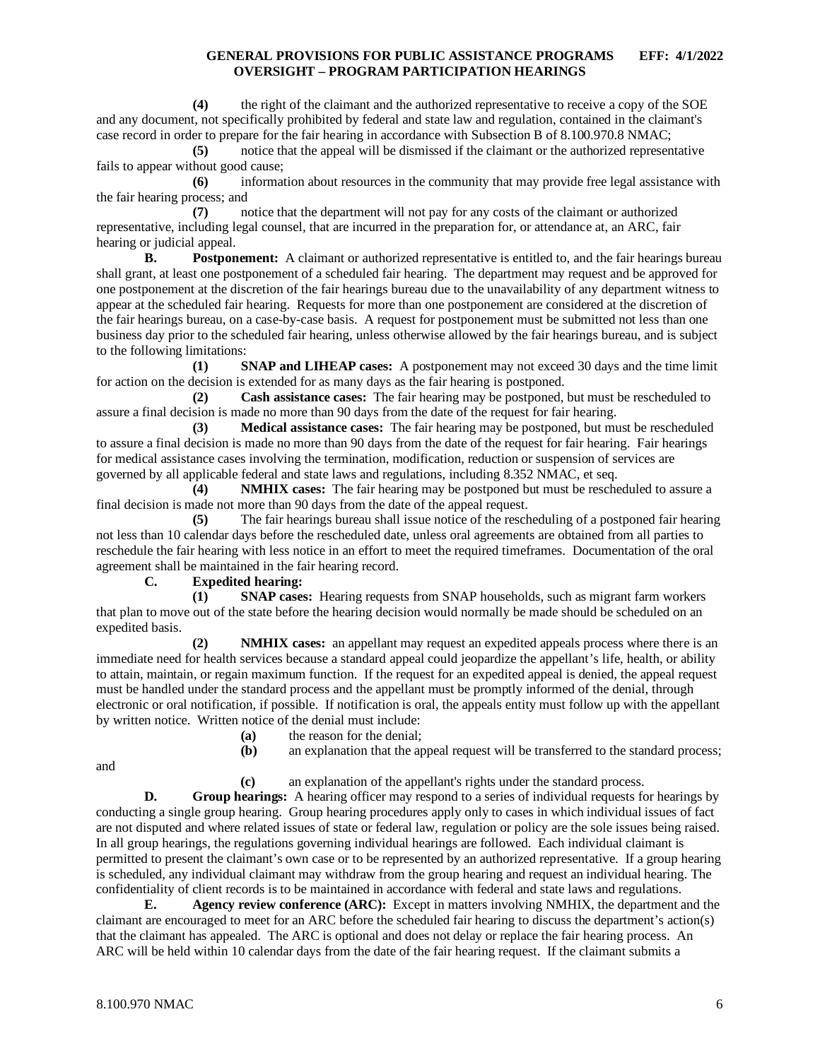**(4)** the right of the claimant and the authorized representative to receive a copy of the SOE and any document, not specifically prohibited by federal and state law and regulation, contained in the claimant's case record in order to prepare for the fair hearing in accordance with Subsection B of 8.100.970.8 NMAC;

**(5)** notice that the appeal will be dismissed if the claimant or the authorized representative fails to appear without good cause;

**(6)** information about resources in the community that may provide free legal assistance with the fair hearing process; and

**(7)** notice that the department will not pay for any costs of the claimant or authorized representative, including legal counsel, that are incurred in the preparation for, or attendance at, an ARC, fair hearing or judicial appeal.

**B. Postponement:** A claimant or authorized representative is entitled to, and the fair hearings bureau shall grant, at least one postponement of a scheduled fair hearing. The department may request and be approved for one postponement at the discretion of the fair hearings bureau due to the unavailability of any department witness to appear at the scheduled fair hearing. Requests for more than one postponement are considered at the discretion of the fair hearings bureau, on a case-by-case basis. A request for postponement must be submitted not less than one business day prior to the scheduled fair hearing, unless otherwise allowed by the fair hearings bureau, and is subject to the following limitations:

**(1) SNAP and LIHEAP cases:** A postponement may not exceed 30 days and the time limit for action on the decision is extended for as many days as the fair hearing is postponed.

**(2) Cash assistance cases:** The fair hearing may be postponed, but must be rescheduled to assure a final decision is made no more than 90 days from the date of the request for fair hearing.

**(3) Medical assistance cases:** The fair hearing may be postponed, but must be rescheduled to assure a final decision is made no more than 90 days from the date of the request for fair hearing. Fair hearings for medical assistance cases involving the termination, modification, reduction or suspension of services are governed by all applicable federal and state laws and regulations, including 8.352 NMAC, et seq.

**(4) NMHIX cases:** The fair hearing may be postponed but must be rescheduled to assure a final decision is made not more than 90 days from the date of the appeal request.

**(5)** The fair hearings bureau shall issue notice of the rescheduling of a postponed fair hearing not less than 10 calendar days before the rescheduled date, unless oral agreements are obtained from all parties to reschedule the fair hearing with less notice in an effort to meet the required timeframes. Documentation of the oral agreement shall be maintained in the fair hearing record.

### **C. Expedited hearing:**

**(1) SNAP cases:** Hearing requests from SNAP households, such as migrant farm workers that plan to move out of the state before the hearing decision would normally be made should be scheduled on an expedited basis.

**(2) NMHIX cases:** an appellant may request an expedited appeals process where there is an immediate need for health services because a standard appeal could jeopardize the appellant's life, health, or ability to attain, maintain, or regain maximum function. If the request for an expedited appeal is denied, the appeal request must be handled under the standard process and the appellant must be promptly informed of the denial, through electronic or oral notification, if possible. If notification is oral, the appeals entity must follow up with the appellant by written notice. Written notice of the denial must include:

**(a)** the reason for the denial;<br>**(b)** an explanation that the ap

an explanation that the appeal request will be transferred to the standard process;

and

**(c)** an explanation of the appellant's rights under the standard process.

**D. Group hearings:** A hearing officer may respond to a series of individual requests for hearings by conducting a single group hearing. Group hearing procedures apply only to cases in which individual issues of fact are not disputed and where related issues of state or federal law, regulation or policy are the sole issues being raised. In all group hearings, the regulations governing individual hearings are followed. Each individual claimant is permitted to present the claimant's own case or to be represented by an authorized representative. If a group hearing is scheduled, any individual claimant may withdraw from the group hearing and request an individual hearing. The confidentiality of client records is to be maintained in accordance with federal and state laws and regulations.

**E. Agency review conference (ARC):** Except in matters involving NMHIX, the department and the claimant are encouraged to meet for an ARC before the scheduled fair hearing to discuss the department's action(s) that the claimant has appealed. The ARC is optional and does not delay or replace the fair hearing process. An ARC will be held within 10 calendar days from the date of the fair hearing request. If the claimant submits a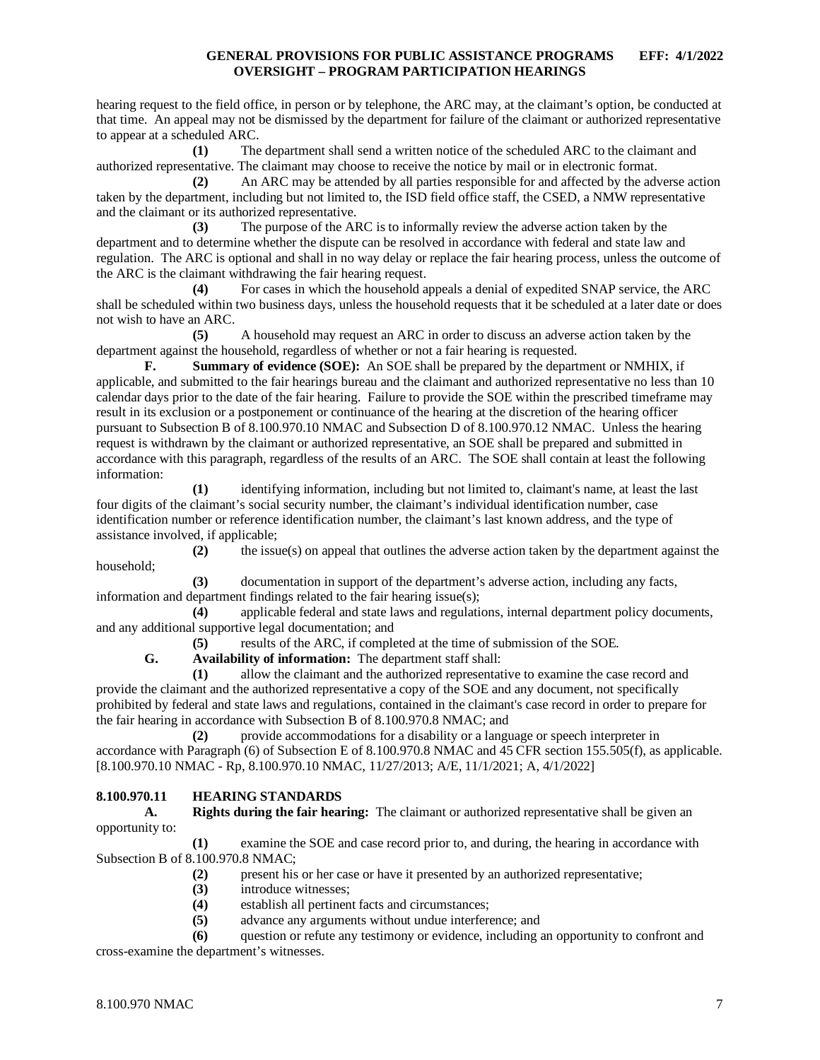hearing request to the field office, in person or by telephone, the ARC may, at the claimant's option, be conducted at that time. An appeal may not be dismissed by the department for failure of the claimant or authorized representative to appear at a scheduled ARC.

**(1)** The department shall send a written notice of the scheduled ARC to the claimant and authorized representative. The claimant may choose to receive the notice by mail or in electronic format.

**(2)** An ARC may be attended by all parties responsible for and affected by the adverse action taken by the department, including but not limited to, the ISD field office staff, the CSED, a NMW representative and the claimant or its authorized representative.

**(3)** The purpose of the ARC is to informally review the adverse action taken by the department and to determine whether the dispute can be resolved in accordance with federal and state law and regulation. The ARC is optional and shall in no way delay or replace the fair hearing process, unless the outcome of the ARC is the claimant withdrawing the fair hearing request.

**(4)** For cases in which the household appeals a denial of expedited SNAP service, the ARC shall be scheduled within two business days, unless the household requests that it be scheduled at a later date or does not wish to have an ARC.

**(5)** A household may request an ARC in order to discuss an adverse action taken by the department against the household, regardless of whether or not a fair hearing is requested.

**F. Summary of evidence (SOE):** An SOE shall be prepared by the department or NMHIX, if applicable, and submitted to the fair hearings bureau and the claimant and authorized representative no less than 10 calendar days prior to the date of the fair hearing. Failure to provide the SOE within the prescribed timeframe may result in its exclusion or a postponement or continuance of the hearing at the discretion of the hearing officer pursuant to Subsection B of 8.100.970.10 NMAC and Subsection D of 8.100.970.12 NMAC. Unless the hearing request is withdrawn by the claimant or authorized representative, an SOE shall be prepared and submitted in accordance with this paragraph, regardless of the results of an ARC. The SOE shall contain at least the following information:

**(1)** identifying information, including but not limited to, claimant's name, at least the last four digits of the claimant's social security number, the claimant's individual identification number, case identification number or reference identification number, the claimant's last known address, and the type of assistance involved, if applicable;

**(2)** the issue(s) on appeal that outlines the adverse action taken by the department against the household;

**(3)** documentation in support of the department's adverse action, including any facts, information and department findings related to the fair hearing issue(s);

**(4)** applicable federal and state laws and regulations, internal department policy documents, and any additional supportive legal documentation; and

**(5)** results of the ARC, if completed at the time of submission of the SOE.

**G. Availability of information:** The department staff shall:

**(1)** allow the claimant and the authorized representative to examine the case record and provide the claimant and the authorized representative a copy of the SOE and any document, not specifically prohibited by federal and state laws and regulations, contained in the claimant's case record in order to prepare for the fair hearing in accordance with Subsection B of 8.100.970.8 NMAC; and

**(2)** provide accommodations for a disability or a language or speech interpreter in accordance with Paragraph (6) of Subsection E of 8.100.970.8 NMAC and 45 CFR section 155.505(f), as applicable. [8.100.970.10 NMAC - Rp, 8.100.970.10 NMAC, 11/27/2013; A/E, 11/1/2021; A, 4/1/2022]

# <span id="page-7-0"></span>**8.100.970.11 HEARING STANDARDS**

**A. Rights during the fair hearing:** The claimant or authorized representative shall be given an opportunity to:

**(1)** examine the SOE and case record prior to, and during, the hearing in accordance with Subsection B of 8.100.970.8 NMAC;

- **(2)** present his or her case or have it presented by an authorized representative;
- **(3)** introduce witnesses;
- (4) establish all pertinent facts and circumstances;<br>(5) advance any arguments without undue interfere
- **(5)** advance any arguments without undue interference; and

**(6)** question or refute any testimony or evidence, including an opportunity to confront and cross-examine the department's witnesses.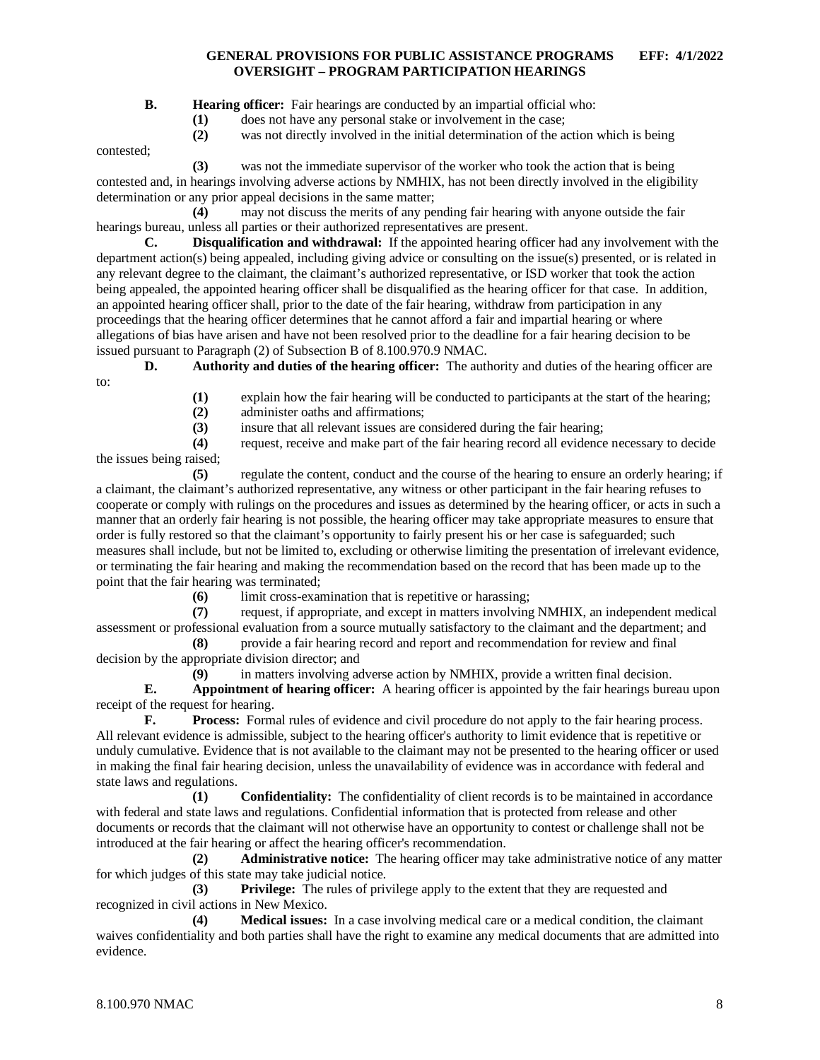**B. Hearing officer:** Fair hearings are conducted by an impartial official who:

**(1)** does not have any personal stake or involvement in the case;

**(2)** was not directly involved in the initial determination of the action which is being

contested;

**(3)** was not the immediate supervisor of the worker who took the action that is being contested and, in hearings involving adverse actions by NMHIX, has not been directly involved in the eligibility determination or any prior appeal decisions in the same matter;

**(4)** may not discuss the merits of any pending fair hearing with anyone outside the fair hearings bureau, unless all parties or their authorized representatives are present.

**C. Disqualification and withdrawal:** If the appointed hearing officer had any involvement with the department action(s) being appealed, including giving advice or consulting on the issue(s) presented, or is related in any relevant degree to the claimant, the claimant's authorized representative, or ISD worker that took the action being appealed, the appointed hearing officer shall be disqualified as the hearing officer for that case. In addition, an appointed hearing officer shall, prior to the date of the fair hearing, withdraw from participation in any proceedings that the hearing officer determines that he cannot afford a fair and impartial hearing or where allegations of bias have arisen and have not been resolved prior to the deadline for a fair hearing decision to be issued pursuant to Paragraph (2) of Subsection B of 8.100.970.9 NMAC.

**D. Authority and duties of the hearing officer:** The authority and duties of the hearing officer are to:

- (1) explain how the fair hearing will be conducted to participants at the start of the hearing;<br>(2) administer oaths and affirmations;
- **(2)** administer oaths and affirmations;
- **(3)** insure that all relevant issues are considered during the fair hearing;

**(4)** request, receive and make part of the fair hearing record all evidence necessary to decide the issues being raised;

**(5)** regulate the content, conduct and the course of the hearing to ensure an orderly hearing; if a claimant, the claimant's authorized representative, any witness or other participant in the fair hearing refuses to cooperate or comply with rulings on the procedures and issues as determined by the hearing officer, or acts in such a manner that an orderly fair hearing is not possible, the hearing officer may take appropriate measures to ensure that order is fully restored so that the claimant's opportunity to fairly present his or her case is safeguarded; such measures shall include, but not be limited to, excluding or otherwise limiting the presentation of irrelevant evidence, or terminating the fair hearing and making the recommendation based on the record that has been made up to the point that the fair hearing was terminated;

**(6)** limit cross-examination that is repetitive or harassing;<br>(7) request, if appropriate, and except in matters involving

**(7)** request, if appropriate, and except in matters involving NMHIX, an independent medical assessment or professional evaluation from a source mutually satisfactory to the claimant and the department; and

**(8)** provide a fair hearing record and report and recommendation for review and final decision by the appropriate division director; and

**(9)** in matters involving adverse action by NMHIX, provide a written final decision.

**E. Appointment of hearing officer:** A hearing officer is appointed by the fair hearings bureau upon receipt of the request for hearing.

**F. Process:** Formal rules of evidence and civil procedure do not apply to the fair hearing process. All relevant evidence is admissible, subject to the hearing officer's authority to limit evidence that is repetitive or unduly cumulative. Evidence that is not available to the claimant may not be presented to the hearing officer or used in making the final fair hearing decision, unless the unavailability of evidence was in accordance with federal and state laws and regulations.<br>(1)

**(1) Confidentiality:** The confidentiality of client records is to be maintained in accordance with federal and state laws and regulations. Confidential information that is protected from release and other documents or records that the claimant will not otherwise have an opportunity to contest or challenge shall not be introduced at the fair hearing or affect the hearing officer's recommendation.

**(2) Administrative notice:** The hearing officer may take administrative notice of any matter for which judges of this state may take judicial notice.

**(3) Privilege:** The rules of privilege apply to the extent that they are requested and recognized in civil actions in New Mexico.

**(4) Medical issues:** In a case involving medical care or a medical condition, the claimant waives confidentiality and both parties shall have the right to examine any medical documents that are admitted into evidence.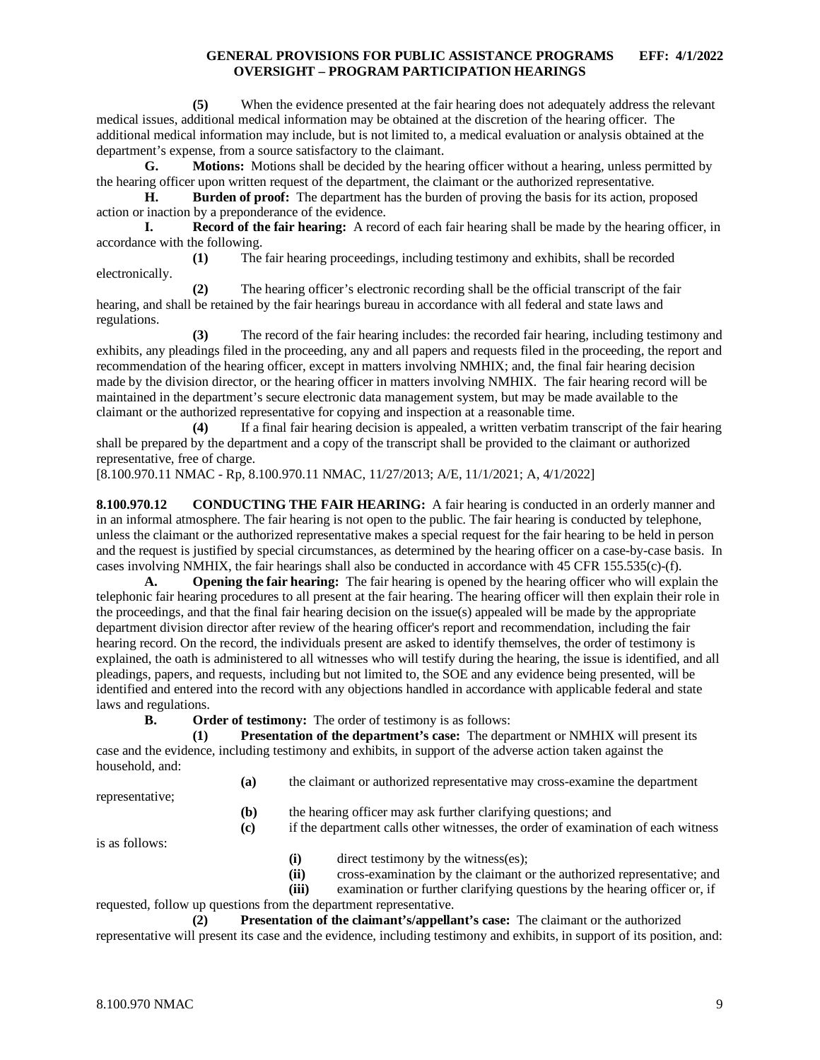**(5)** When the evidence presented at the fair hearing does not adequately address the relevant medical issues, additional medical information may be obtained at the discretion of the hearing officer. The additional medical information may include, but is not limited to, a medical evaluation or analysis obtained at the department's expense, from a source satisfactory to the claimant.

**G. Motions:** Motions shall be decided by the hearing officer without a hearing, unless permitted by the hearing officer upon written request of the department, the claimant or the authorized representative.

**H. Burden of proof:** The department has the burden of proving the basis for its action, proposed action or inaction by a preponderance of the evidence.

**I. Record of the fair hearing:** A record of each fair hearing shall be made by the hearing officer, in accordance with the following.

**(1)** The fair hearing proceedings, including testimony and exhibits, shall be recorded electronically.

**(2)** The hearing officer's electronic recording shall be the official transcript of the fair hearing, and shall be retained by the fair hearings bureau in accordance with all federal and state laws and regulations.

**(3)** The record of the fair hearing includes: the recorded fair hearing, including testimony and exhibits, any pleadings filed in the proceeding, any and all papers and requests filed in the proceeding, the report and recommendation of the hearing officer, except in matters involving NMHIX; and, the final fair hearing decision made by the division director, or the hearing officer in matters involving NMHIX. The fair hearing record will be maintained in the department's secure electronic data management system, but may be made available to the claimant or the authorized representative for copying and inspection at a reasonable time.

**(4)** If a final fair hearing decision is appealed, a written verbatim transcript of the fair hearing shall be prepared by the department and a copy of the transcript shall be provided to the claimant or authorized representative, free of charge.

[8.100.970.11 NMAC - Rp, 8.100.970.11 NMAC, 11/27/2013; A/E, 11/1/2021; A, 4/1/2022]

<span id="page-9-0"></span>**8.100.970.12 CONDUCTING THE FAIR HEARING:** A fair hearing is conducted in an orderly manner and in an informal atmosphere. The fair hearing is not open to the public. The fair hearing is conducted by telephone, unless the claimant or the authorized representative makes a special request for the fair hearing to be held in person and the request is justified by special circumstances, as determined by the hearing officer on a case-by-case basis. In cases involving NMHIX, the fair hearings shall also be conducted in accordance with 45 CFR 155.535(c)-(f).

**A. Opening the fair hearing:** The fair hearing is opened by the hearing officer who will explain the telephonic fair hearing procedures to all present at the fair hearing. The hearing officer will then explain their role in the proceedings, and that the final fair hearing decision on the issue(s) appealed will be made by the appropriate department division director after review of the hearing officer's report and recommendation, including the fair hearing record. On the record, the individuals present are asked to identify themselves, the order of testimony is explained, the oath is administered to all witnesses who will testify during the hearing, the issue is identified, and all pleadings, papers, and requests, including but not limited to, the SOE and any evidence being presented, will be identified and entered into the record with any objections handled in accordance with applicable federal and state laws and regulations.

**B. Order of testimony:** The order of testimony is as follows:

**(1) Presentation of the department's case:** The department or NMHIX will present its case and the evidence, including testimony and exhibits, in support of the adverse action taken against the household, and:

**(a)** the claimant or authorized representative may cross-examine the department

representative;

**(b)** the hearing officer may ask further clarifying questions; and

**(c)** if the department calls other witnesses, the order of examination of each witness

is as follows:

- **(i)** direct testimony by the witness(es);
- **(ii)** cross-examination by the claimant or the authorized representative; and

**(iii)** examination or further clarifying questions by the hearing officer or, if

requested, follow up questions from the department representative.

**(2) Presentation of the claimant's/appellant's case:** The claimant or the authorized representative will present its case and the evidence, including testimony and exhibits, in support of its position, and: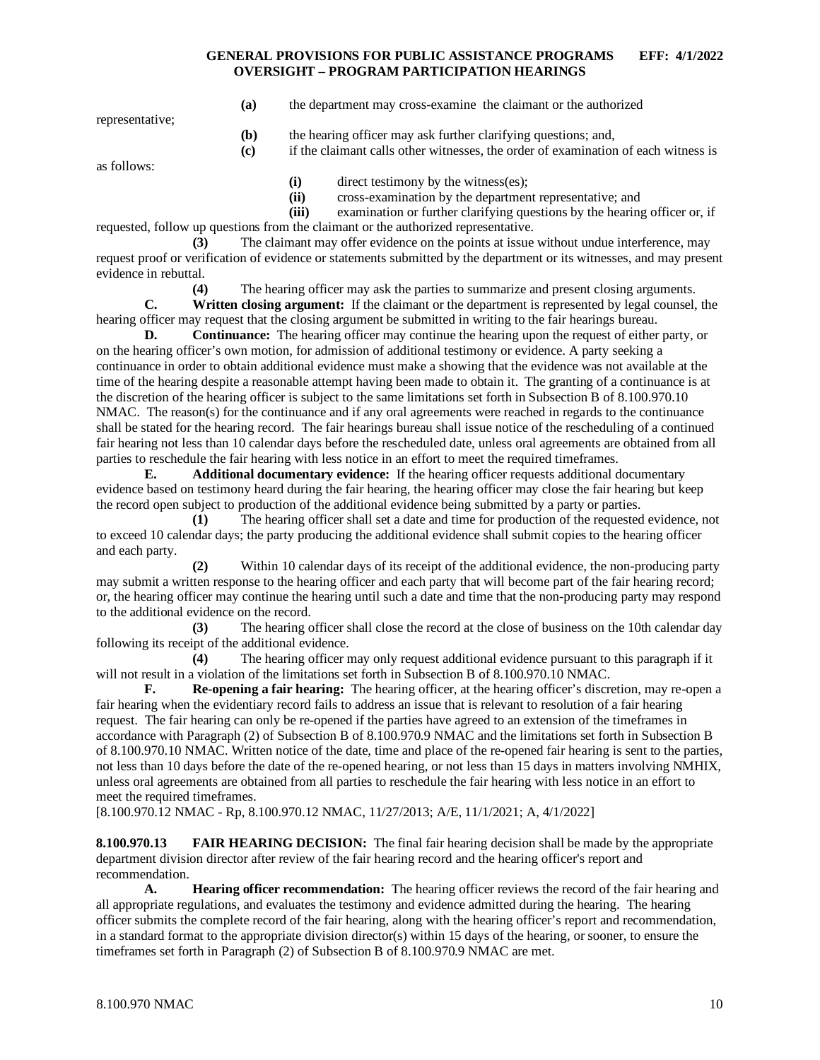**(a)** the department may cross-examine the claimant or the authorized

representative;

- **(b)** the hearing officer may ask further clarifying questions; and,
- **(c)** if the claimant calls other witnesses, the order of examination of each witness is

as follows:

**(i)** direct testimony by the witness(es);

**(ii)** cross-examination by the department representative; and

**(iii)** examination or further clarifying questions by the hearing officer or, if requested, follow up questions from the claimant or the authorized representative.

**(3)** The claimant may offer evidence on the points at issue without undue interference, may request proof or verification of evidence or statements submitted by the department or its witnesses, and may present evidence in rebuttal.

**(4)** The hearing officer may ask the parties to summarize and present closing arguments.

**C. Written closing argument:** If the claimant or the department is represented by legal counsel, the hearing officer may request that the closing argument be submitted in writing to the fair hearings bureau.

**D. Continuance:** The hearing officer may continue the hearing upon the request of either party, or on the hearing officer's own motion, for admission of additional testimony or evidence. A party seeking a continuance in order to obtain additional evidence must make a showing that the evidence was not available at the time of the hearing despite a reasonable attempt having been made to obtain it. The granting of a continuance is at the discretion of the hearing officer is subject to the same limitations set forth in Subsection B of 8.100.970.10 NMAC. The reason(s) for the continuance and if any oral agreements were reached in regards to the continuance shall be stated for the hearing record. The fair hearings bureau shall issue notice of the rescheduling of a continued fair hearing not less than 10 calendar days before the rescheduled date, unless oral agreements are obtained from all parties to reschedule the fair hearing with less notice in an effort to meet the required timeframes.

**E. Additional documentary evidence:** If the hearing officer requests additional documentary evidence based on testimony heard during the fair hearing, the hearing officer may close the fair hearing but keep the record open subject to production of the additional evidence being submitted by a party or parties.

**(1)** The hearing officer shall set a date and time for production of the requested evidence, not to exceed 10 calendar days; the party producing the additional evidence shall submit copies to the hearing officer and each party.

**(2)** Within 10 calendar days of its receipt of the additional evidence, the non-producing party may submit a written response to the hearing officer and each party that will become part of the fair hearing record; or, the hearing officer may continue the hearing until such a date and time that the non-producing party may respond to the additional evidence on the record.

**(3)** The hearing officer shall close the record at the close of business on the 10th calendar day following its receipt of the additional evidence.

**(4)** The hearing officer may only request additional evidence pursuant to this paragraph if it will not result in a violation of the limitations set forth in Subsection B of 8.100.970.10 NMAC.

**F. Re-opening a fair hearing:** The hearing officer, at the hearing officer's discretion, may re-open a fair hearing when the evidentiary record fails to address an issue that is relevant to resolution of a fair hearing request. The fair hearing can only be re-opened if the parties have agreed to an extension of the timeframes in accordance with Paragraph (2) of Subsection B of 8.100.970.9 NMAC and the limitations set forth in Subsection B of 8.100.970.10 NMAC. Written notice of the date, time and place of the re-opened fair hearing is sent to the parties, not less than 10 days before the date of the re-opened hearing, or not less than 15 days in matters involving NMHIX, unless oral agreements are obtained from all parties to reschedule the fair hearing with less notice in an effort to meet the required timeframes.

[8.100.970.12 NMAC - Rp, 8.100.970.12 NMAC, 11/27/2013; A/E, 11/1/2021; A, 4/1/2022]

<span id="page-10-0"></span>**8.100.970.13 FAIR HEARING DECISION:** The final fair hearing decision shall be made by the appropriate department division director after review of the fair hearing record and the hearing officer's report and recommendation.

**A. Hearing officer recommendation:** The hearing officer reviews the record of the fair hearing and all appropriate regulations, and evaluates the testimony and evidence admitted during the hearing. The hearing officer submits the complete record of the fair hearing, along with the hearing officer's report and recommendation, in a standard format to the appropriate division director(s) within 15 days of the hearing, or sooner, to ensure the timeframes set forth in Paragraph (2) of Subsection B of 8.100.970.9 NMAC are met.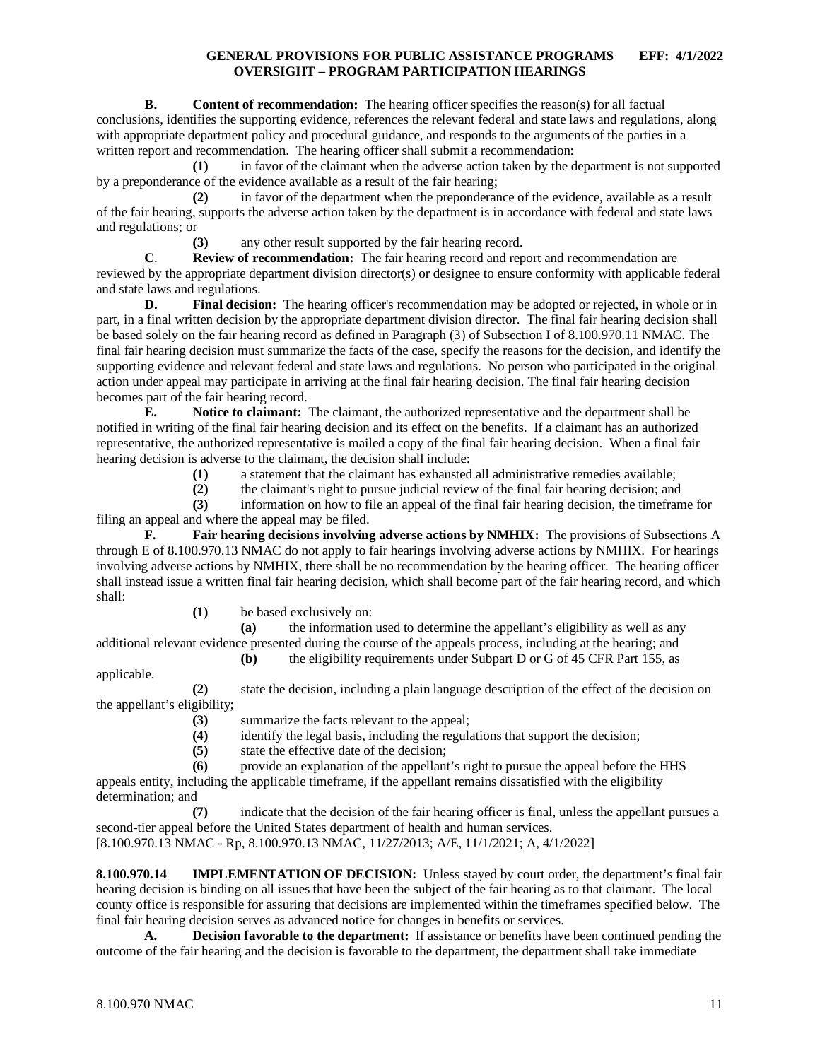**B. Content of recommendation:** The hearing officer specifies the reason(s) for all factual conclusions, identifies the supporting evidence, references the relevant federal and state laws and regulations, along with appropriate department policy and procedural guidance, and responds to the arguments of the parties in a written report and recommendation. The hearing officer shall submit a recommendation:

**(1)** in favor of the claimant when the adverse action taken by the department is not supported by a preponderance of the evidence available as a result of the fair hearing;

**(2)** in favor of the department when the preponderance of the evidence, available as a result of the fair hearing, supports the adverse action taken by the department is in accordance with federal and state laws and regulations; or

**(3)** any other result supported by the fair hearing record.

**C**. **Review of recommendation:** The fair hearing record and report and recommendation are reviewed by the appropriate department division director(s) or designee to ensure conformity with applicable federal and state laws and regulations.

**D. Final decision:** The hearing officer's recommendation may be adopted or rejected, in whole or in part, in a final written decision by the appropriate department division director. The final fair hearing decision shall be based solely on the fair hearing record as defined in Paragraph (3) of Subsection I of 8.100.970.11 NMAC. The final fair hearing decision must summarize the facts of the case, specify the reasons for the decision, and identify the supporting evidence and relevant federal and state laws and regulations. No person who participated in the original action under appeal may participate in arriving at the final fair hearing decision. The final fair hearing decision becomes part of the fair hearing record.

**E. Notice to claimant:** The claimant, the authorized representative and the department shall be notified in writing of the final fair hearing decision and its effect on the benefits. If a claimant has an authorized representative, the authorized representative is mailed a copy of the final fair hearing decision. When a final fair hearing decision is adverse to the claimant, the decision shall include:

**(1)** a statement that the claimant has exhausted all administrative remedies available;

**(2)** the claimant's right to pursue judicial review of the final fair hearing decision; and

**(3)** information on how to file an appeal of the final fair hearing decision, the timeframe for filing an appeal and where the appeal may be filed.

**F. Fair hearing decisions involving adverse actions by NMHIX:** The provisions of Subsections A through E of 8.100.970.13 NMAC do not apply to fair hearings involving adverse actions by NMHIX. For hearings involving adverse actions by NMHIX, there shall be no recommendation by the hearing officer. The hearing officer shall instead issue a written final fair hearing decision, which shall become part of the fair hearing record, and which shall:

**(1)** be based exclusively on:

**(a)** the information used to determine the appellant's eligibility as well as any additional relevant evidence presented during the course of the appeals process, including at the hearing; and

**(b)** the eligibility requirements under Subpart D or G of 45 CFR Part 155, as

applicable.

**(2)** state the decision, including a plain language description of the effect of the decision on the appellant's eligibility;

(3) summarize the facts relevant to the appeal;<br>(4) identify the legal basis, including the regularity

- **(4)** identify the legal basis, including the regulations that support the decision;
- state the effective date of the decision;
- **(6)** provide an explanation of the appellant's right to pursue the appeal before the HHS

appeals entity, including the applicable timeframe, if the appellant remains dissatisfied with the eligibility determination; and

**(7)** indicate that the decision of the fair hearing officer is final, unless the appellant pursues a second-tier appeal before the United States department of health and human services. [8.100.970.13 NMAC - Rp, 8.100.970.13 NMAC, 11/27/2013; A/E, 11/1/2021; A, 4/1/2022]

<span id="page-11-0"></span>**8.100.970.14 IMPLEMENTATION OF DECISION:** Unless stayed by court order, the department's final fair hearing decision is binding on all issues that have been the subject of the fair hearing as to that claimant. The local county office is responsible for assuring that decisions are implemented within the timeframes specified below. The final fair hearing decision serves as advanced notice for changes in benefits or services.

**A. Decision favorable to the department:** If assistance or benefits have been continued pending the outcome of the fair hearing and the decision is favorable to the department, the department shall take immediate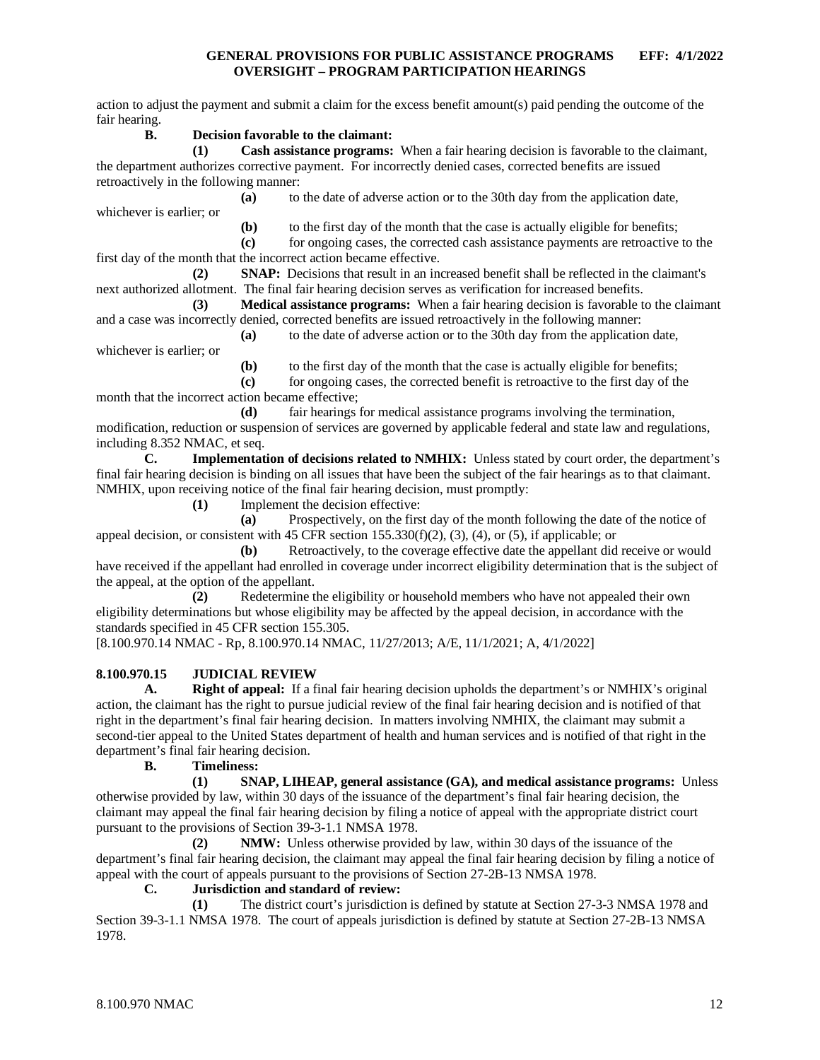action to adjust the payment and submit a claim for the excess benefit amount(s) paid pending the outcome of the fair hearing.

#### **B. Decision favorable to the claimant:**

**(1) Cash assistance programs:** When a fair hearing decision is favorable to the claimant, the department authorizes corrective payment. For incorrectly denied cases, corrected benefits are issued retroactively in the following manner:

**(a)** to the date of adverse action or to the 30th day from the application date,

**(b)** to the first day of the month that the case is actually eligible for benefits;

**(c)** for ongoing cases, the corrected cash assistance payments are retroactive to the first day of the month that the incorrect action became effective.

**(2) SNAP:** Decisions that result in an increased benefit shall be reflected in the claimant's next authorized allotment. The final fair hearing decision serves as verification for increased benefits.

**(3) Medical assistance programs:** When a fair hearing decision is favorable to the claimant and a case was incorrectly denied, corrected benefits are issued retroactively in the following manner:

**(a)** to the date of adverse action or to the 30th day from the application date,

whichever is earlier; or

whichever is earlier; or

**(b)** to the first day of the month that the case is actually eligible for benefits;

**(c)** for ongoing cases, the corrected benefit is retroactive to the first day of the month that the incorrect action became effective;

**(d)** fair hearings for medical assistance programs involving the termination, modification, reduction or suspension of services are governed by applicable federal and state law and regulations, including 8.352 NMAC, et seq.<br> **C.** Implementat

**C. Implementation of decisions related to NMHIX:** Unless stated by court order, the department's final fair hearing decision is binding on all issues that have been the subject of the fair hearings as to that claimant. NMHIX, upon receiving notice of the final fair hearing decision, must promptly:

**(1)** Implement the decision effective:

**(a)** Prospectively, on the first day of the month following the date of the notice of appeal decision, or consistent with 45 CFR section  $155.330(f)(2)$ ,  $(3)$ ,  $(4)$ , or  $(5)$ , if applicable; or

**(b)** Retroactively, to the coverage effective date the appellant did receive or would have received if the appellant had enrolled in coverage under incorrect eligibility determination that is the subject of the appeal, at the option of the appellant.

**(2)** Redetermine the eligibility or household members who have not appealed their own eligibility determinations but whose eligibility may be affected by the appeal decision, in accordance with the standards specified in 45 CFR section 155.305.

[8.100.970.14 NMAC - Rp, 8.100.970.14 NMAC, 11/27/2013; A/E, 11/1/2021; A, 4/1/2022]

### <span id="page-12-0"></span>**8.100.970.15 JUDICIAL REVIEW**

**A. Right of appeal:** If a final fair hearing decision upholds the department's or NMHIX's original action, the claimant has the right to pursue judicial review of the final fair hearing decision and is notified of that right in the department's final fair hearing decision. In matters involving NMHIX, the claimant may submit a second-tier appeal to the United States department of health and human services and is notified of that right in the department's final fair hearing decision.

### **B. Timeliness:**

**(1) SNAP, LIHEAP, general assistance (GA), and medical assistance programs:** Unless otherwise provided by law, within 30 days of the issuance of the department's final fair hearing decision, the claimant may appeal the final fair hearing decision by filing a notice of appeal with the appropriate district court pursuant to the provisions of Section 39-3-1.1 NMSA 1978.

**(2) NMW:** Unless otherwise provided by law, within 30 days of the issuance of the department's final fair hearing decision, the claimant may appeal the final fair hearing decision by filing a notice of appeal with the court of appeals pursuant to the provisions of Section 27-2B-13 NMSA 1978.

## **C. Jurisdiction and standard of review:**

**(1)** The district court's jurisdiction is defined by statute at Section 27-3-3 NMSA 1978 and Section 39-3-1.1 NMSA 1978. The court of appeals jurisdiction is defined by statute at Section 27-2B-13 NMSA 1978.